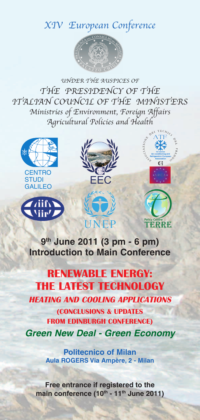## XIV European Conference



UNDER THE AUSPICES OF THE PRESIDENCY OF THE ITALIAN COUNCIL OF THE MINISTERS Ministries of Environment, Foreign Affairs Agricultural Policies and Health



**9th June 2011 (3 pm - 6 pm) Introduction to Main Conference**

## **RENEWABLE ENERGY: THE LATEST TECHNOLOGY HEATING AND COOLING APPLICATIONS (CONCLUSIONS & UPDATES FROM EDINBURGH CONFERENCE)** *Green New Deal - Green Economy*

**Politecnico of Milan Aula ROGERS Via Ampère, 2 - Milan**

**Free entrance if registered to the main conference** (10<sup>th</sup> - 11<sup>th</sup> June 2011)